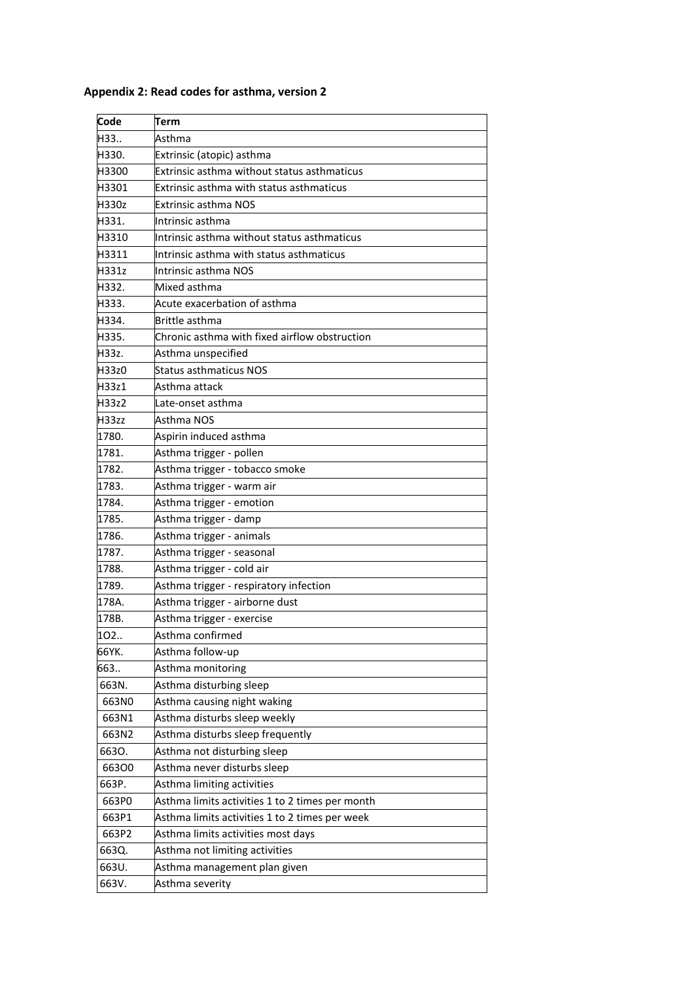| Code  | Term                                            |
|-------|-------------------------------------------------|
| H33   | Asthma                                          |
| H330. | Extrinsic (atopic) asthma                       |
| H3300 | Extrinsic asthma without status asthmaticus     |
| H3301 | <b>Extrinsic asthma with status asthmaticus</b> |
| H330z | Extrinsic asthma NOS                            |
| H331. | Intrinsic asthma                                |
| H3310 | Intrinsic asthma without status asthmaticus     |
| H3311 | Intrinsic asthma with status asthmaticus        |
| H331z | Intrinsic asthma NOS                            |
| H332. | Mixed asthma                                    |
| H333. | Acute exacerbation of asthma                    |
| H334. | Brittle asthma                                  |
| H335. | Chronic asthma with fixed airflow obstruction   |
| H33z. | Asthma unspecified                              |
| H33z0 | Status asthmaticus NOS                          |
| H33z1 | Asthma attack                                   |
| H33z2 | Late-onset asthma                               |
| H33zz | Asthma NOS                                      |
| 1780. | Aspirin induced asthma                          |
| 1781. | Asthma trigger - pollen                         |
| 1782. | Asthma trigger - tobacco smoke                  |
| 1783. | Asthma trigger - warm air                       |
| 1784. | Asthma trigger - emotion                        |
| 1785. | Asthma trigger - damp                           |
| 1786. | Asthma trigger - animals                        |
| 1787. | Asthma trigger - seasonal                       |
| 1788. | Asthma trigger - cold air                       |
| 1789. | Asthma trigger - respiratory infection          |
| 178A. | Asthma trigger - airborne dust                  |
| 178B. | Asthma trigger - exercise                       |
| 102   | Asthma confirmed                                |
| 66YK. | Asthma follow-up                                |
| 663   | Asthma monitoring                               |
| 663N. | Asthma disturbing sleep                         |
| 663N0 | Asthma causing night waking                     |
| 663N1 | Asthma disturbs sleep weekly                    |
| 663N2 | Asthma disturbs sleep frequently                |
| 6630. | Asthma not disturbing sleep                     |
| 66300 | Asthma never disturbs sleep                     |
| 663P. | Asthma limiting activities                      |
| 663P0 | Asthma limits activities 1 to 2 times per month |
| 663P1 | Asthma limits activities 1 to 2 times per week  |
| 663P2 | Asthma limits activities most days              |
| 663Q. | Asthma not limiting activities                  |
| 663U. | Asthma management plan given                    |
| 663V. | Asthma severity                                 |

## **Appendix 2: Read codes for asthma, version 2**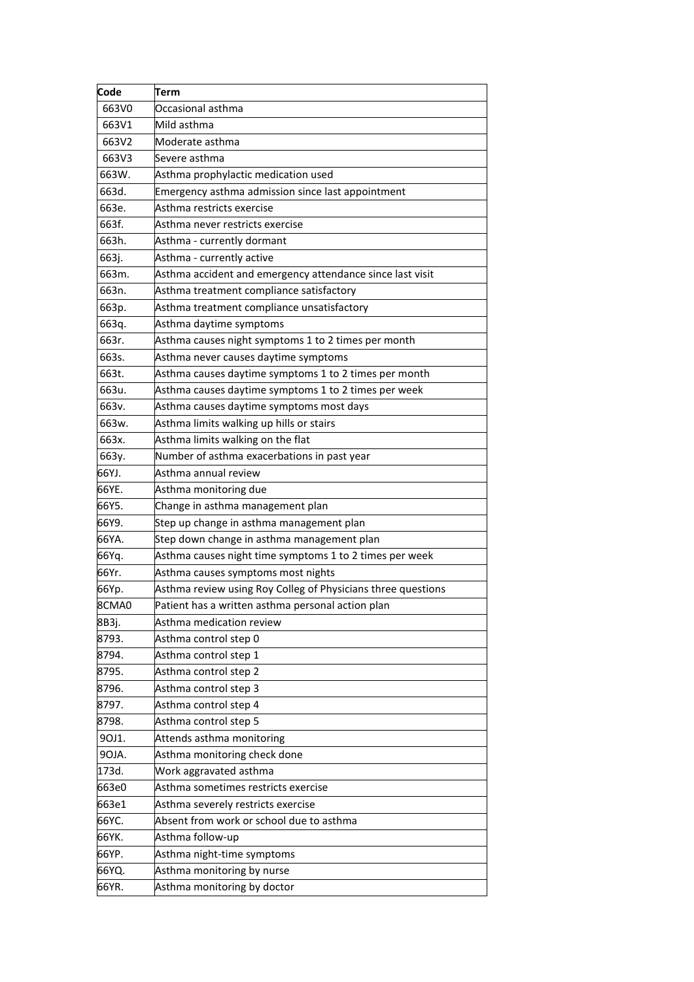| Code  | Term                                                         |
|-------|--------------------------------------------------------------|
| 663V0 | Occasional asthma                                            |
| 663V1 | Mild asthma                                                  |
| 663V2 | Moderate asthma                                              |
| 663V3 | Severe asthma                                                |
| 663W. | Asthma prophylactic medication used                          |
| 663d. | Emergency asthma admission since last appointment            |
| 663e. | Asthma restricts exercise                                    |
| 663f. | Asthma never restricts exercise                              |
| 663h. | Asthma - currently dormant                                   |
| 663j. | Asthma - currently active                                    |
| 663m. | Asthma accident and emergency attendance since last visit    |
| 663n. | Asthma treatment compliance satisfactory                     |
| 663p. | Asthma treatment compliance unsatisfactory                   |
| 663q. | Asthma daytime symptoms                                      |
| 663r. | Asthma causes night symptoms 1 to 2 times per month          |
| 663s. | Asthma never causes daytime symptoms                         |
| 663t. | Asthma causes daytime symptoms 1 to 2 times per month        |
| 663u. | Asthma causes daytime symptoms 1 to 2 times per week         |
| 663v. | Asthma causes daytime symptoms most days                     |
| 663w. | Asthma limits walking up hills or stairs                     |
| 663x. | Asthma limits walking on the flat                            |
| 663y. | Number of asthma exacerbations in past year                  |
| 66YJ. | Asthma annual review                                         |
| 66YE. | Asthma monitoring due                                        |
| 66Y5. | Change in asthma management plan                             |
| 66Y9. | Step up change in asthma management plan                     |
| 66YA. | Step down change in asthma management plan                   |
| 66Yq. | Asthma causes night time symptoms 1 to 2 times per week      |
| 66Yr. | Asthma causes symptoms most nights                           |
| 66Yp. | Asthma review using Roy Colleg of Physicians three questions |
| 8CMA0 | Patient has a written asthma personal action plan            |
| 8B3j. | Asthma medication review                                     |
| 8793. | Asthma control step 0                                        |
| 8794. | Asthma control step 1                                        |
| 8795. | Asthma control step 2                                        |
| 8796. | Asthma control step 3                                        |
| 8797. | Asthma control step 4                                        |
| 8798. | Asthma control step 5                                        |
| 90J1. | Attends asthma monitoring                                    |
| 90JA. | Asthma monitoring check done                                 |
| 173d. | Work aggravated asthma                                       |
| 663e0 | Asthma sometimes restricts exercise                          |
| 663e1 | Asthma severely restricts exercise                           |
| 66YC. | Absent from work or school due to asthma                     |
| 66YK. | Asthma follow-up                                             |
| 66YP. | Asthma night-time symptoms                                   |
| 66YQ. | Asthma monitoring by nurse                                   |
| 66YR. | Asthma monitoring by doctor                                  |